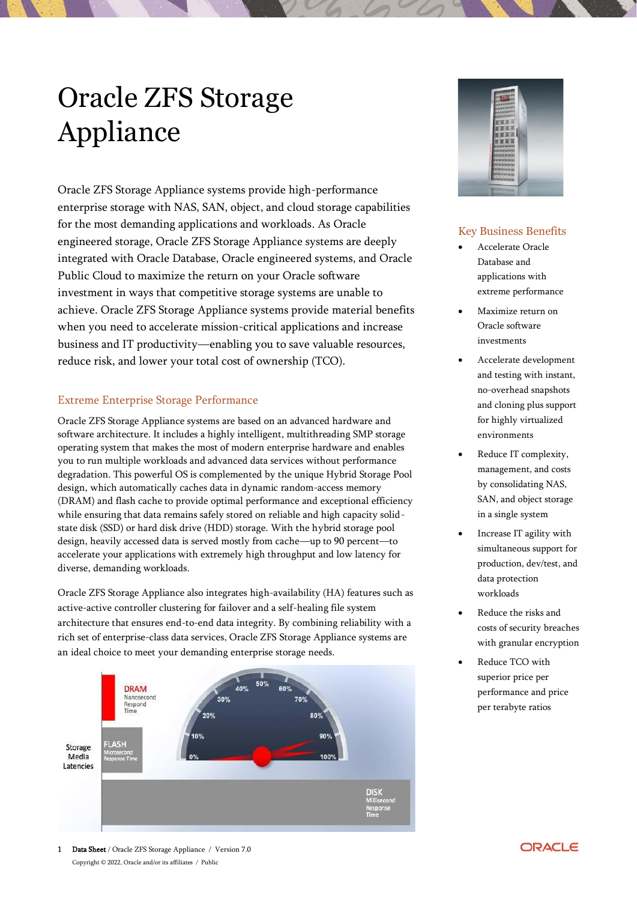# Oracle ZFS Storage Appliance

Oracle ZFS Storage Appliance systems provide high-performance enterprise storage with NAS, SAN, object, and cloud storage capabilities for the most demanding applications and workloads. As Oracle engineered storage, Oracle ZFS Storage Appliance systems are deeply integrated with Oracle Database, Oracle engineered systems, and Oracle Public Cloud to maximize the return on your Oracle software investment in ways that competitive storage systems are unable to achieve. Oracle ZFS Storage Appliance systems provide material benefits when you need to accelerate mission-critical applications and increase business and IT productivity—enabling you to save valuable resources, reduce risk, and lower your total cost of ownership (TCO).

## Extreme Enterprise Storage Performance

Oracle ZFS Storage Appliance systems are based on an advanced hardware and software architecture. It includes a highly intelligent, multithreading SMP storage operating system that makes the most of modern enterprise hardware and enables you to run multiple workloads and advanced data services without performance degradation. This powerful OS is complemented by the unique Hybrid Storage Pool design, which automatically caches data in dynamic random-access memory (DRAM) and flash cache to provide optimal performance and exceptional efficiency while ensuring that data remains safely stored on reliable and high capacity solidstate disk (SSD) or hard disk drive (HDD) storage. With the hybrid storage pool design, heavily accessed data is served mostly from cache—up to 90 percent—to accelerate your applications with extremely high throughput and low latency for diverse, demanding workloads.

Oracle ZFS Storage Appliance also integrates high-availability (HA) features such as active-active controller clustering for failover and a self-healing file system architecture that ensures end-to-end data integrity. By combining reliability with a rich set of enterprise-class data services, Oracle ZFS Storage Appliance systems are an ideal choice to meet your demanding enterprise storage needs.





## Key Business Benefits

- Accelerate Oracle Database and applications with extreme performance
- Maximize return on Oracle software investments
- Accelerate development and testing with instant, no-overhead snapshots and cloning plus support for highly virtualized environments
- Reduce IT complexity, management, and costs by consolidating NAS, SAN, and object storage in a single system
- Increase IT agility with simultaneous support for production, dev/test, and data protection workloads
- Reduce the risks and costs of security breaches with granular encryption
- Reduce TCO with superior price per performance and price per terabyte ratios

1 Data Sheet / Oracle ZFS Storage Appliance / Version 7.0 Copyright © 2022, Oracle and/or its affiliates / Public

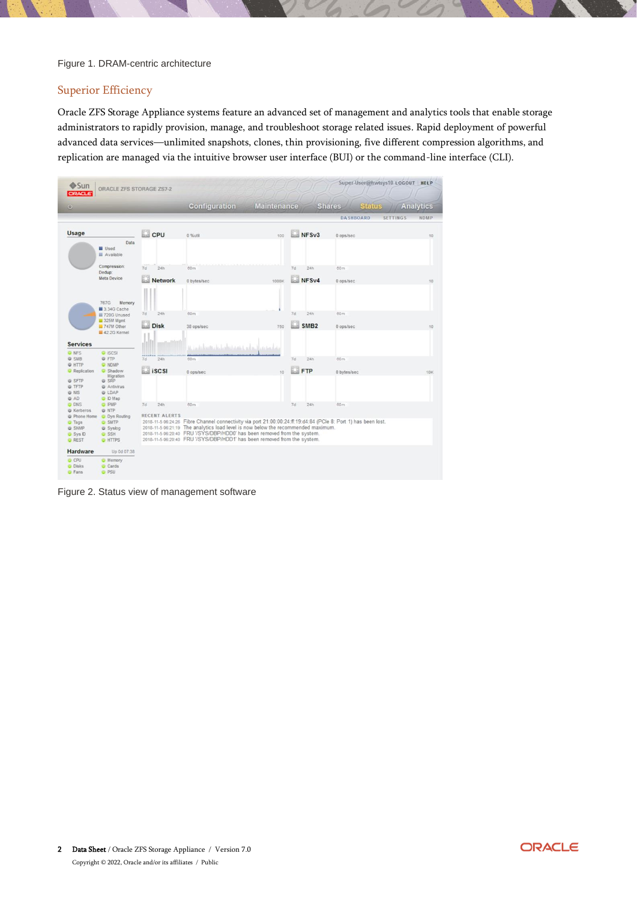#### Figure 1. DRAM-centric architecture

## Superior Efficiency

Oracle ZFS Storage Appliance systems feature an advanced set of management and analytics tools that enable storage administrators to rapidly provision, manage, and troubleshoot storage related issues. Rapid deployment of powerful advanced data services—unlimited snapshots, clones, thin provisioning, five different compression algorithms, and replication are managed via the intuitive browser user interface (BUI) or the command-line interface (CLI).

| Sun<br><b>ORACLE</b>                  | ORACLE ZFS STORAGE ZS7-2                    |                      |                                                                                                                                                               |                    |                  |                                | Super-User@hwtsys10 LOGOUT HELP |      |
|---------------------------------------|---------------------------------------------|----------------------|---------------------------------------------------------------------------------------------------------------------------------------------------------------|--------------------|------------------|--------------------------------|---------------------------------|------|
| $\omega$                              |                                             |                      | <b>Configuration</b>                                                                                                                                          | <b>Maintenance</b> |                  | <b>Status</b><br><b>Shares</b> | <b>Analytics</b>                |      |
|                                       |                                             |                      |                                                                                                                                                               |                    |                  | <b>DASHBOARD</b>               | <b>SETTINGS</b>                 | NDMP |
| Usage                                 |                                             | CPU <sup>CPU</sup>   | $0.96$ util                                                                                                                                                   | 100                | NFSv3            | 0 ops/sec                      |                                 | 10   |
|                                       | Data<br><b>Used</b><br><b>III</b> Available |                      |                                                                                                                                                               |                    |                  |                                |                                 |      |
|                                       | Compression:<br>Dedup:                      | 7d<br>24h            | 60m                                                                                                                                                           |                    | 7d<br>24h        | 60m                            |                                 |      |
|                                       | Meta Device                                 | Network              | 0 bytes/sec                                                                                                                                                   | 1000K              | NFSv4            | 0 ops/sec                      |                                 | 10   |
|                                       | 767G<br>Memory                              |                      |                                                                                                                                                               |                    |                  |                                |                                 |      |
|                                       | 3.34G Cache<br>720G Unused                  | 7d<br>24h            | 60m                                                                                                                                                           |                    | 7d<br>24h        | 60m                            |                                 |      |
|                                       | 325M Mgmt<br>747M Other                     | Disk                 | 38 ops/sec                                                                                                                                                    | 750                | SMB <sub>2</sub> | 0 ops/sec                      |                                 | 10   |
|                                       | 42.2G Kernel                                |                      |                                                                                                                                                               |                    |                  |                                |                                 |      |
| <b>Services</b>                       |                                             |                      | مقاصيين إلىماتم اختباعا بالماحات التقاطينية                                                                                                                   |                    |                  |                                |                                 |      |
| <b>O</b> NFS<br><b>U SMB</b>          | <b>O</b> iSCSI<br><b>U</b> FTP              | 24h<br>7d            | 60m                                                                                                                                                           |                    | 7d<br>24h        | 60m                            |                                 |      |
| <b>O</b> HTTP<br><b>C</b> Replication | <b>O</b> NDMP<br>G Shadow                   | iscsi                | 0 ops/sec                                                                                                                                                     | 10                 | FTP              | 0 bytes/sec                    |                                 | 10K  |
| <b>O</b> SFTP                         | Migration<br><b>O</b> SRP                   |                      |                                                                                                                                                               |                    |                  |                                |                                 |      |
| @ TFTP                                | <b>C</b> Antivirus                          |                      |                                                                                                                                                               |                    |                  |                                |                                 |      |
| @ NIS<br><b>O</b> AD                  | @ LDAP<br>O ID Map                          |                      |                                                                                                                                                               |                    |                  |                                |                                 |      |
| <b>O</b> DNS<br><b>W</b> Kerberos     | <b>O</b> PMP<br>@ NTP                       | 7d<br>24h            | 60m                                                                                                                                                           |                    | 7d<br>24h        | 60m                            |                                 |      |
|                                       | Phone Home O Dyn Routing                    | <b>RECENT ALERTS</b> |                                                                                                                                                               |                    |                  |                                |                                 |      |
| <b>O</b> Tags                         | <b>O</b> SMTP                               |                      | 2018-11-5 06:24:26 Fibre Channel connectivity via port 21:00:00:24:ff:19:d4:84 (PCle 8: Port 1) has been lost.                                                |                    |                  |                                |                                 |      |
| G SNMP<br><b>C</b> Sys ID             | Syslog<br><b>O SSH</b>                      |                      | 2018-11-5 06:21:19 The analytics load level is now below the recommended maximum.<br>2018-11-5 06:20:40 FRU '/SYS/DBP/HDD0' has been removed from the system. |                    |                  |                                |                                 |      |
| <b>O</b> REST                         | <b>O</b> HTTPS                              |                      | 2018-11-5 06:20:40 FRU '/SYS/DBP/HDD1' has been removed from the system.                                                                                      |                    |                  |                                |                                 |      |
| Hardware                              | Up 0d 07:38                                 |                      |                                                                                                                                                               |                    |                  |                                |                                 |      |
| <b>O</b> CPU<br><b>O</b> Disks        | <b>O</b> Memory                             |                      |                                                                                                                                                               |                    |                  |                                |                                 |      |
|                                       | C Cards                                     |                      |                                                                                                                                                               |                    |                  |                                |                                 |      |

Figure 2. Status view of management software

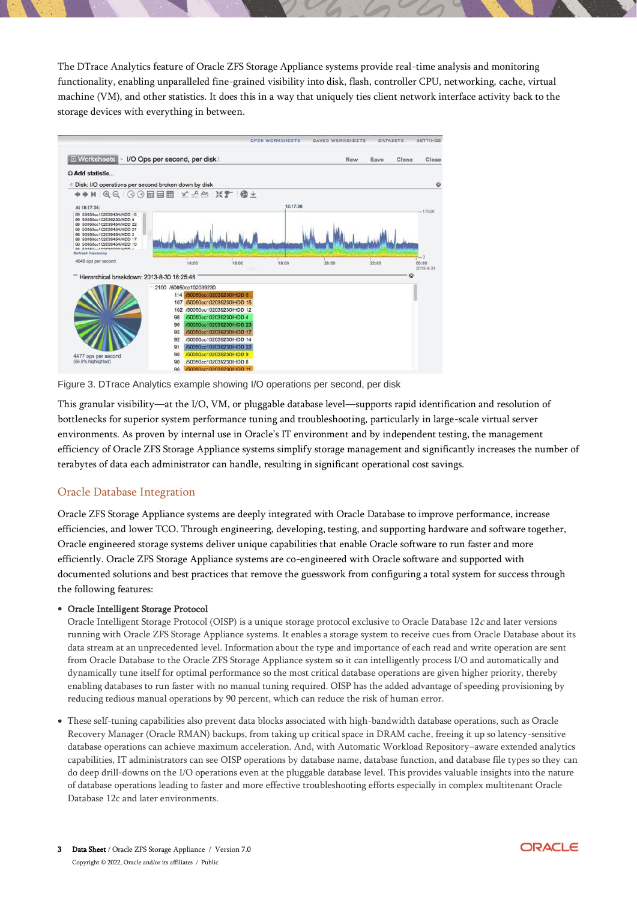The DTrace Analytics feature of Oracle ZFS Storage Appliance systems provide real-time analysis and monitoring functionality, enabling unparalleled fine-grained visibility into disk, flash, controller CPU, networking, cache, virtual machine (VM), and other statistics. It does this in a way that uniquely ties client network interface activity back to the storage devices with everything in between.



Figure 3. DTrace Analytics example showing I/O operations per second, per disk

This granular visibility—at the I/O, VM, or pluggable database level—supports rapid identification and resolution of bottlenecks for superior system performance tuning and troubleshooting, particularly in large-scale virtual server environments. As proven by internal use in Oracle's IT environment and by independent testing, the management efficiency of Oracle ZFS Storage Appliance systems simplify storage management and significantly increases the number of terabytes of data each administrator can handle, resulting in significant operational cost savings.

## Oracle Database Integration

Oracle ZFS Storage Appliance systems are deeply integrated with Oracle Database to improve performance, increase efficiencies, and lower TCO. Through engineering, developing, testing, and supporting hardware and software together, Oracle engineered storage systems deliver unique capabilities that enable Oracle software to run faster and more efficiently. Oracle ZFS Storage Appliance systems are co-engineered with Oracle software and supported with documented solutions and best practices that remove the guesswork from configuring a total system for success through the following features:

#### • Oracle Intelligent Storage Protocol

Oracle Intelligent Storage Protocol (OISP) is a unique storage protocol exclusive to Oracle Database  $12c$  and later versions running with Oracle ZFS Storage Appliance systems. It enables a storage system to receive cues from Oracle Database about its data stream at an unprecedented level. Information about the type and importance of each read and write operation are sent from Oracle Database to the Oracle ZFS Storage Appliance system so it can intelligently process I/O and automatically and dynamically tune itself for optimal performance so the most critical database operations are given higher priority, thereby enabling databases to run faster with no manual tuning required. OISP has the added advantage of speeding provisioning by reducing tedious manual operations by 90 percent, which can reduce the risk of human error.

• These self-tuning capabilities also prevent data blocks associated with high-bandwidth database operations, such as Oracle Recovery Manager (Oracle RMAN) backups, from taking up critical space in DRAM cache, freeing it up so latency-sensitive database operations can achieve maximum acceleration. And, with Automatic Workload Repository–aware extended analytics capabilities, IT administrators can see OISP operations by database name, database function, and database file types so they can do deep drill-downs on the I/O operations even at the pluggable database level. This provides valuable insights into the nature of database operations leading to faster and more effective troubleshooting efforts especially in complex multitenant Oracle Database 12c and later environments.

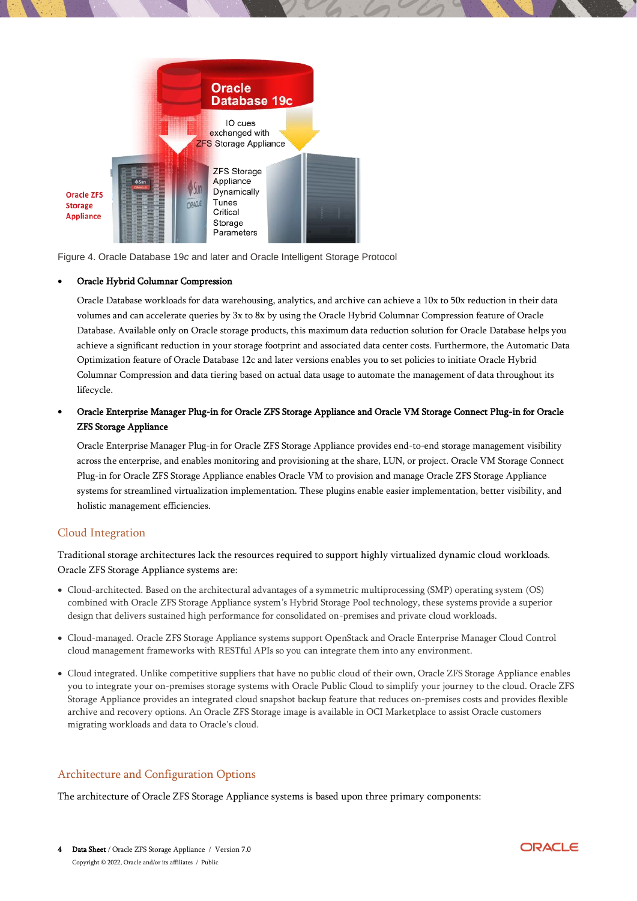

Figure 4. Oracle Database 19*c* and later and Oracle Intelligent Storage Protocol

#### • Oracle Hybrid Columnar Compression

Oracle Database workloads for data warehousing, analytics, and archive can achieve a 10x to 50x reduction in their data volumes and can accelerate queries by 3x to 8x by using the Oracle Hybrid Columnar Compression feature of Oracle Database. Available only on Oracle storage products, this maximum data reduction solution for Oracle Database helps you achieve a significant reduction in your storage footprint and associated data center costs. Furthermore, the Automatic Data Optimization feature of Oracle Database 12c and later versions enables you to set policies to initiate Oracle Hybrid Columnar Compression and data tiering based on actual data usage to automate the management of data throughout its lifecycle.

## • Oracle Enterprise Manager Plug-in for Oracle ZFS Storage Appliance and Oracle VM Storage Connect Plug-in for Oracle ZFS Storage Appliance

Oracle Enterprise Manager Plug-in for Oracle ZFS Storage Appliance provides end-to-end storage management visibility across the enterprise, and enables monitoring and provisioning at the share, LUN, or project. Oracle VM Storage Connect Plug-in for Oracle ZFS Storage Appliance enables Oracle VM to provision and manage Oracle ZFS Storage Appliance systems for streamlined virtualization implementation. These plugins enable easier implementation, better visibility, and holistic management efficiencies.

## Cloud Integration

Traditional storage architectures lack the resources required to support highly virtualized dynamic cloud workloads. Oracle ZFS Storage Appliance systems are:

- Cloud-architected. Based on the architectural advantages of a symmetric multiprocessing (SMP) operating system (OS) combined with Oracle ZFS Storage Appliance system's Hybrid Storage Pool technology, these systems provide a superior design that delivers sustained high performance for consolidated on-premises and private cloud workloads.
- Cloud-managed. Oracle ZFS Storage Appliance systems support OpenStack and Oracle Enterprise Manager Cloud Control cloud management frameworks with RESTful APIs so you can integrate them into any environment.
- Cloud integrated. Unlike competitive suppliers that have no public cloud of their own, Oracle ZFS Storage Appliance enables you to integrate your on-premises storage systems with Oracle Public Cloud to simplify your journey to the cloud. Oracle ZFS Storage Appliance provides an integrated cloud snapshot backup feature that reduces on-premises costs and provides flexible archive and recovery options. An Oracle ZFS Storage image is available in OCI Marketplace to assist Oracle customers migrating workloads and data to Oracle's cloud.

## Architecture and Configuration Options

The architecture of Oracle ZFS Storage Appliance systems is based upon three primary components:

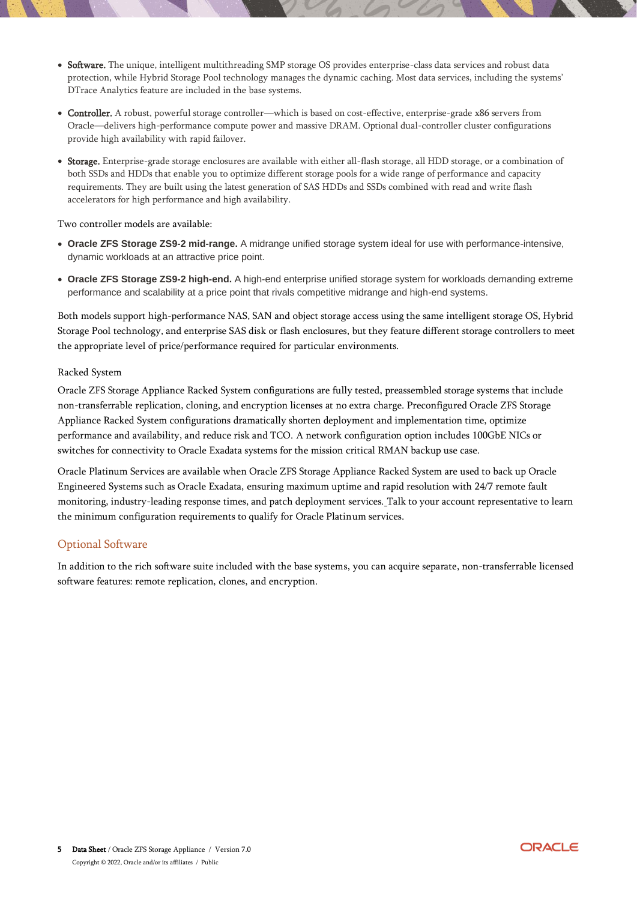- Software. The unique, intelligent multithreading SMP storage OS provides enterprise-class data services and robust data protection, while Hybrid Storage Pool technology manages the dynamic caching. Most data services, including the systems' DTrace Analytics feature are included in the base systems.
- Controller. A robust, powerful storage controller—which is based on cost-effective, enterprise-grade x86 servers from Oracle—delivers high-performance compute power and massive DRAM. Optional dual-controller cluster configurations provide high availability with rapid failover.
- Storage. Enterprise-grade storage enclosures are available with either all-flash storage, all HDD storage, or a combination of both SSDs and HDDs that enable you to optimize different storage pools for a wide range of performance and capacity requirements. They are built using the latest generation of SAS HDDs and SSDs combined with read and write flash accelerators for high performance and high availability.

Two controller models are available:

- **Oracle ZFS Storage ZS9-2 mid-range.** A midrange unified storage system ideal for use with performance-intensive, dynamic workloads at an attractive price point.
- **Oracle ZFS Storage ZS9-2 high-end.** A high-end enterprise unified storage system for workloads demanding extreme performance and scalability at a price point that rivals competitive midrange and high-end systems.

Both models support high-performance NAS, SAN and object storage access using the same intelligent storage OS, Hybrid Storage Pool technology, and enterprise SAS disk or flash enclosures, but they feature different storage controllers to meet the appropriate level of price/performance required for particular environments.

#### Racked System

Oracle ZFS Storage Appliance Racked System configurations are fully tested, preassembled storage systems that include non-transferrable replication, cloning, and encryption licenses at no extra charge. Preconfigured Oracle ZFS Storage Appliance Racked System configurations dramatically shorten deployment and implementation time, optimize performance and availability, and reduce risk and TCO. A network configuration option includes 100GbE NICs or switches for connectivity to Oracle Exadata systems for the mission critical RMAN backup use case.

Oracle Platinum Services are available when Oracle ZFS Storage Appliance Racked System are used to back up Oracle Engineered Systems such as Oracle Exadata, ensuring maximum uptime and rapid resolution with 24/7 remote fault monitoring, industry-leading response times, and patch deployment services. Talk to your account representative to learn the minimum configuration requirements to qualify for Oracle Platinum services.

#### Optional Software

In addition to the rich software suite included with the base systems, you can acquire separate, non-transferrable licensed software features: remote replication, clones, and encryption.

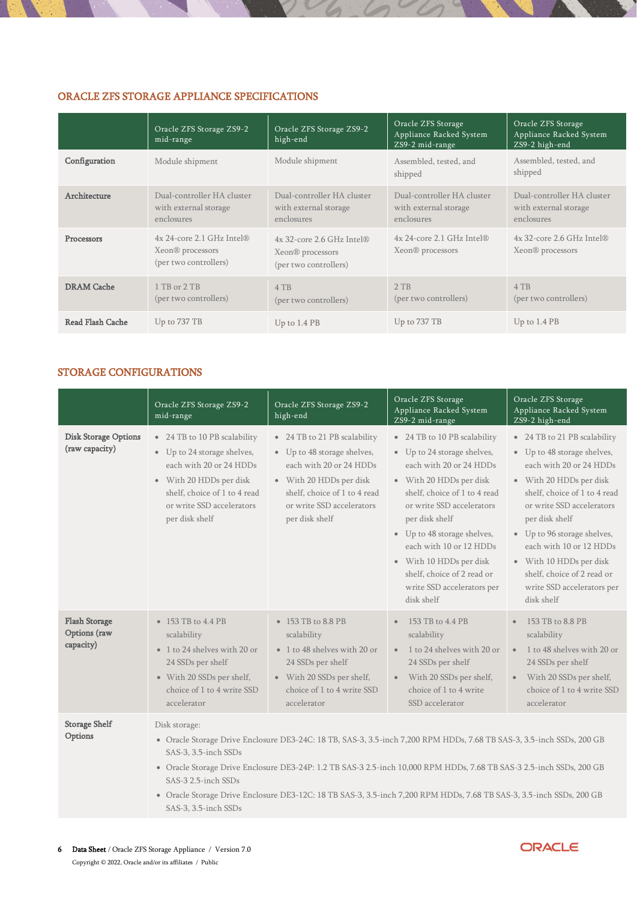## ORACLE ZFS STORAGE APPLIANCE SPECIFICATIONS

|                         | Oracle ZFS Storage ZS9-2<br>mid-range                                                     | Oracle ZFS Storage ZS9-2<br>high-end                                                      | Oracle ZFS Storage<br>Appliance Racked System<br>ZS9-2 mid-range  | Oracle ZFS Storage<br>Appliance Racked System<br>ZS9-2 high-end   |
|-------------------------|-------------------------------------------------------------------------------------------|-------------------------------------------------------------------------------------------|-------------------------------------------------------------------|-------------------------------------------------------------------|
| Configuration           | Module shipment                                                                           | Module shipment                                                                           | Assembled, tested, and<br>shipped                                 | Assembled, tested, and<br>shipped                                 |
| Architecture            | Dual-controller HA cluster<br>with external storage<br>enclosures                         | Dual-controller HA cluster<br>with external storage<br>enclosures                         | Dual-controller HA cluster<br>with external storage<br>enclosures | Dual-controller HA cluster<br>with external storage<br>enclosures |
| Processors              | $4x$ 24-core 2.1 GHz Intel $\Re$<br>Xeon <sup>®</sup> processors<br>(per two controllers) | $4x$ 32-core 2.6 GHz Intel $\Re$<br>Xeon <sup>®</sup> processors<br>(per two controllers) | $4x$ 24-core 2.1 GHz Intel $\Re$<br>Xeon <sup>®</sup> processors  | 4x 32-core 2.6 GHz Intel®<br>Xeon <sup>®</sup> processors         |
| <b>DRAM</b> Cache       | 1 TB or 2 TB<br>(per two controllers)                                                     | 4 TB<br>(per two controllers)                                                             | $2$ TB<br>(per two controllers)                                   | 4 TB<br>(per two controllers)                                     |
| <b>Read Flash Cache</b> | Up to 737 TB                                                                              | Up to 1.4 PB                                                                              | Up to 737 TB                                                      | Up to $1.4$ PB                                                    |

## STORAGE CONFIGURATIONS

|                                                   | Oracle ZFS Storage ZS9-2<br>mid-range                                                                                                                                                            | Oracle ZFS Storage ZS9-2<br>high-end                                                                                                                                                                                                          | Oracle ZFS Storage<br>Appliance Racked System<br>ZS9-2 mid-range                                                                                                                                                                                                                                                                                                | Oracle ZFS Storage<br>Appliance Racked System<br>ZS9-2 high-end                                                                                                                                                                                                                                                                                                 |
|---------------------------------------------------|--------------------------------------------------------------------------------------------------------------------------------------------------------------------------------------------------|-----------------------------------------------------------------------------------------------------------------------------------------------------------------------------------------------------------------------------------------------|-----------------------------------------------------------------------------------------------------------------------------------------------------------------------------------------------------------------------------------------------------------------------------------------------------------------------------------------------------------------|-----------------------------------------------------------------------------------------------------------------------------------------------------------------------------------------------------------------------------------------------------------------------------------------------------------------------------------------------------------------|
| <b>Disk Storage Options</b><br>(raw capacity)     | • 24 TB to 10 PB scalability<br>• Up to 24 storage shelves,<br>each with 20 or 24 HDDs<br>• With 20 HDDs per disk<br>shelf, choice of 1 to 4 read<br>or write SSD accelerators<br>per disk shelf | • 24 TB to 21 PB scalability<br>• Up to 48 storage shelves,<br>each with 20 or 24 HDDs<br>• With 20 HDDs per disk<br>shelf, choice of 1 to 4 read<br>or write SSD accelerators<br>per disk shelf                                              | • 24 TB to 10 PB scalability<br>• Up to 24 storage shelves,<br>each with 20 or 24 HDDs<br>• With 20 HDDs per disk<br>shelf, choice of 1 to 4 read<br>or write SSD accelerators<br>per disk shelf<br>• Up to 48 storage shelves,<br>each with 10 or 12 HDDs<br>• With 10 HDDs per disk<br>shelf, choice of 2 read or<br>write SSD accelerators per<br>disk shelf | • 24 TB to 21 PB scalability<br>• Up to 48 storage shelves,<br>each with 20 or 24 HDDs<br>• With 20 HDDs per disk<br>shelf, choice of 1 to 4 read<br>or write SSD accelerators<br>per disk shelf<br>• Up to 96 storage shelves,<br>each with 10 or 12 HDDs<br>• With 10 HDDs per disk<br>shelf, choice of 2 read or<br>write SSD accelerators per<br>disk shelf |
| <b>Flash Storage</b><br>Options (raw<br>capacity) | • 153 TB to 4.4 PB<br>scalability<br>• 1 to 24 shelves with 20 or<br>24 SSDs per shelf<br>• With 20 SSDs per shelf,<br>choice of 1 to 4 write SSD<br>accelerator                                 | • 153 TB to 8.8 PB<br>scalability<br>• 1 to 48 shelves with 20 or<br>24 SSDs per shelf<br>• With 20 SSDs per shelf,<br>choice of 1 to 4 write SSD<br>accelerator                                                                              | 153 TB to 4.4 PB<br>scalability<br>1 to 24 shelves with 20 or<br>$\bullet$<br>24 SSDs per shelf<br>With 20 SSDs per shelf,<br>$\bullet$<br>choice of 1 to 4 write<br>SSD accelerator                                                                                                                                                                            | 153 TB to 8.8 PB<br>$\bullet$<br>scalability<br>1 to 48 shelves with 20 or<br>$\bullet$<br>24 SSDs per shelf<br>With 20 SSDs per shelf,<br>$\bullet$<br>choice of 1 to 4 write SSD<br>accelerator                                                                                                                                                               |
| <b>Storage Shelf</b><br>Options                   | Disk storage:<br>SAS-3, 3.5-inch SSDs<br>SAS-3 2.5-inch SSDs                                                                                                                                     | • Oracle Storage Drive Enclosure DE3-24C: 18 TB, SAS-3, 3.5-inch 7,200 RPM HDDs, 7.68 TB SAS-3, 3.5-inch SSDs, 200 GB<br>• Oracle Storage Drive Enclosure DE3-24P: 1.2 TB SAS-3 2.5-inch 10,000 RPM HDDs, 7.68 TB SAS-3 2.5-inch SSDs, 200 GB |                                                                                                                                                                                                                                                                                                                                                                 |                                                                                                                                                                                                                                                                                                                                                                 |

- Oracle Storage Drive Enclosure DE3-12C: 18 TB SAS-3, 3.5-inch 7,200 RPM HDDs, 7.68 TB SAS-3, 3.5-inch SSDs, 200 GB SAS-3, 3.5-inch SSDs
- 6 Data Sheet / Oracle ZFS Storage Appliance / Version 7.0 Copyright © 2022, Oracle and/or its affiliates / Public

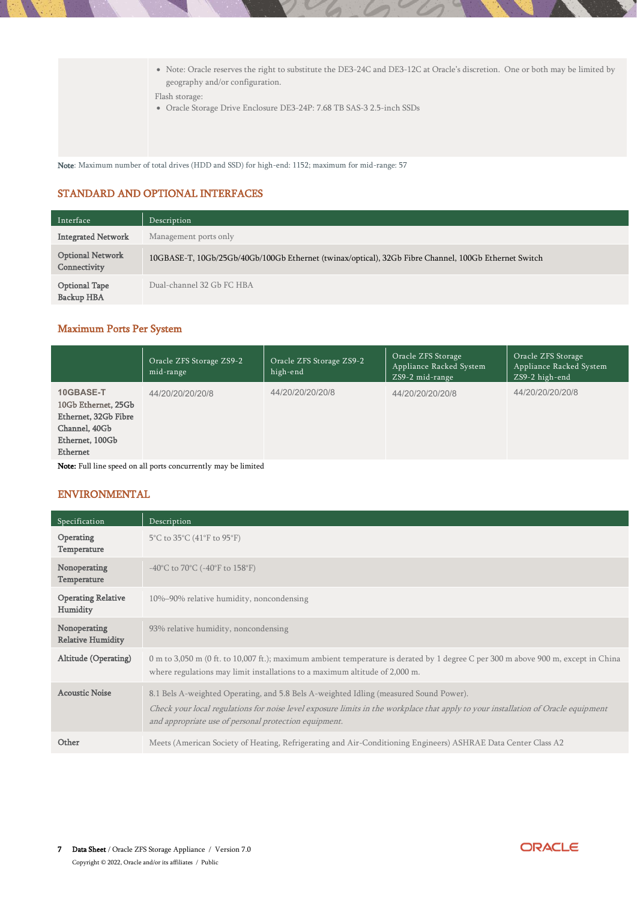• Note: Oracle reserves the right to substitute the DE3-24C and DE3-12C at Oracle's discretion. One or both may be limited by geography and/or configuration.

Flash storage:

• Oracle Storage Drive Enclosure DE3-24P: 7.68 TB SAS-3 2.5-inch SSDs

Note: Maximum number of total drives (HDD and SSD) for high-end: 1152; maximum for mid-range: 57

## STANDARD AND OPTIONAL INTERFACES

| Interface                               | Description                                                                                          |
|-----------------------------------------|------------------------------------------------------------------------------------------------------|
| <b>Integrated Network</b>               | Management ports only                                                                                |
| <b>Optional Network</b><br>Connectivity | 10GBASE-T, 10Gb/25Gb/40Gb/100Gb Ethernet (twinax/optical), 32Gb Fibre Channel, 100Gb Ethernet Switch |
| <b>Optional Tape</b><br>Backup HBA      | Dual-channel 32 Gb FC HBA                                                                            |

## Maximum Ports Per System

|                                                                                                          | Oracle ZFS Storage ZS9-2<br>mid-range          | Oracle ZFS Storage ZS9-2<br>high-end | Oracle ZFS Storage<br>Appliance Racked System<br>ZS9-2 mid-range | Oracle ZFS Storage<br>Appliance Racked System<br>ZS9-2 high-end |
|----------------------------------------------------------------------------------------------------------|------------------------------------------------|--------------------------------------|------------------------------------------------------------------|-----------------------------------------------------------------|
| 10GBASE-T<br>10Gb Ethernet, 25Gb<br>Ethernet, 32Gb Fibre<br>Channel, 40Gb<br>Ethernet, 100Gb<br>Ethernet | 44/20/20/20/20/8                               | 44/20/20/20/20/8                     | 44/20/20/20/20/8                                                 | 44/20/20/20/20/8                                                |
| $\mathbf{r}$                                                                                             | $\mathbf{a}$ and $\mathbf{a}$<br>$\mathbf{11}$ |                                      |                                                                  |                                                                 |

Note: Full line speed on all ports concurrently may be limited

## ENVIRONMENTAL

| Specification                            | Description                                                                                                                                                                                                                                                                         |
|------------------------------------------|-------------------------------------------------------------------------------------------------------------------------------------------------------------------------------------------------------------------------------------------------------------------------------------|
| Operating<br>Temperature                 | 5°C to 35°C (41°F to 95°F)                                                                                                                                                                                                                                                          |
| Nonoperating<br>Temperature              | -40°C to 70°C (-40°F to 158°F)                                                                                                                                                                                                                                                      |
| <b>Operating Relative</b><br>Humidity    | 10%–90% relative humidity, noncondensing                                                                                                                                                                                                                                            |
| Nonoperating<br><b>Relative Humidity</b> | 93% relative humidity, noncondensing                                                                                                                                                                                                                                                |
| Altitude (Operating)                     | 0 m to 3,050 m (0 ft. to 10,007 ft.); maximum ambient temperature is derated by 1 degree C per 300 m above 900 m, except in China<br>where regulations may limit installations to a maximum altitude of 2,000 m.                                                                    |
| <b>Acoustic Noise</b>                    | 8.1 Bels A-weighted Operating, and 5.8 Bels A-weighted Idling (measured Sound Power).<br>Check your local regulations for noise level exposure limits in the workplace that apply to your installation of Oracle equipment<br>and appropriate use of personal protection equipment. |
| Other                                    | Meets (American Society of Heating, Refrigerating and Air-Conditioning Engineers) ASHRAE Data Center Class A2                                                                                                                                                                       |

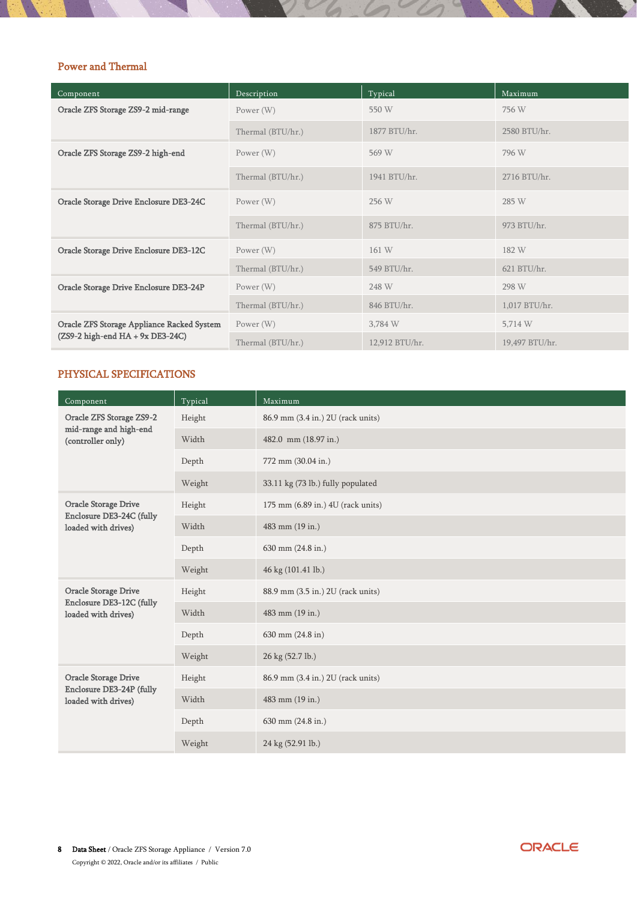# Power and Thermal

| Component                                  | Description       | Typical        | Maximum        |
|--------------------------------------------|-------------------|----------------|----------------|
| Oracle ZFS Storage ZS9-2 mid-range         | Power (W)         | 550 W          | 756 W          |
|                                            | Thermal (BTU/hr.) | 1877 BTU/hr.   | 2580 BTU/hr.   |
| Oracle ZFS Storage ZS9-2 high-end          | Power (W)         | 569 W          | 796 W          |
|                                            | Thermal (BTU/hr.) | 1941 BTU/hr.   | 2716 BTU/hr.   |
| Oracle Storage Drive Enclosure DE3-24C     | Power (W)         | 256 W          | 285 W          |
|                                            | Thermal (BTU/hr.) | 875 BTU/hr.    | 973 BTU/hr.    |
| Oracle Storage Drive Enclosure DE3-12C     | Power (W)         | 161 W          | 182 W          |
|                                            | Thermal (BTU/hr.) | 549 BTU/hr.    | 621 BTU/hr.    |
| Oracle Storage Drive Enclosure DE3-24P     | Power (W)         | 248 W          | 298 W          |
|                                            | Thermal (BTU/hr.) | 846 BTU/hr.    | 1,017 BTU/hr.  |
| Oracle ZFS Storage Appliance Racked System | Power $(W)$       | 3,784 W        | 5,714 W        |
| $(ZS9-2 high-end HA + 9x DE3-24C)$         | Thermal (BTU/hr.) | 12,912 BTU/hr. | 19,497 BTU/hr. |

## PHYSICAL SPECIFICATIONS

| Component                                       | Typical | Maximum                           |
|-------------------------------------------------|---------|-----------------------------------|
| Oracle ZFS Storage ZS9-2                        | Height  | 86.9 mm (3.4 in.) 2U (rack units) |
| mid-range and high-end<br>(controller only)     | Width   | 482.0 mm (18.97 in.)              |
|                                                 | Depth   | 772 mm (30.04 in.)                |
|                                                 | Weight  | 33.11 kg (73 lb.) fully populated |
| <b>Oracle Storage Drive</b>                     | Height  | 175 mm (6.89 in.) 4U (rack units) |
| Enclosure DE3-24C (fully<br>loaded with drives) | Width   | 483 mm (19 in.)                   |
|                                                 | Depth   | 630 mm (24.8 in.)                 |
|                                                 | Weight  | 46 kg (101.41 lb.)                |
| <b>Oracle Storage Drive</b>                     | Height  | 88.9 mm (3.5 in.) 2U (rack units) |
| Enclosure DE3-12C (fully<br>loaded with drives) | Width   | 483 mm (19 in.)                   |
|                                                 | Depth   | 630 mm (24.8 in)                  |
|                                                 | Weight  | 26 kg (52.7 lb.)                  |
| <b>Oracle Storage Drive</b>                     | Height  | 86.9 mm (3.4 in.) 2U (rack units) |
| Enclosure DE3-24P (fully<br>loaded with drives) | Width   | 483 mm (19 in.)                   |
|                                                 | Depth   | 630 mm (24.8 in.)                 |
|                                                 | Weight  | 24 kg (52.91 lb.)                 |

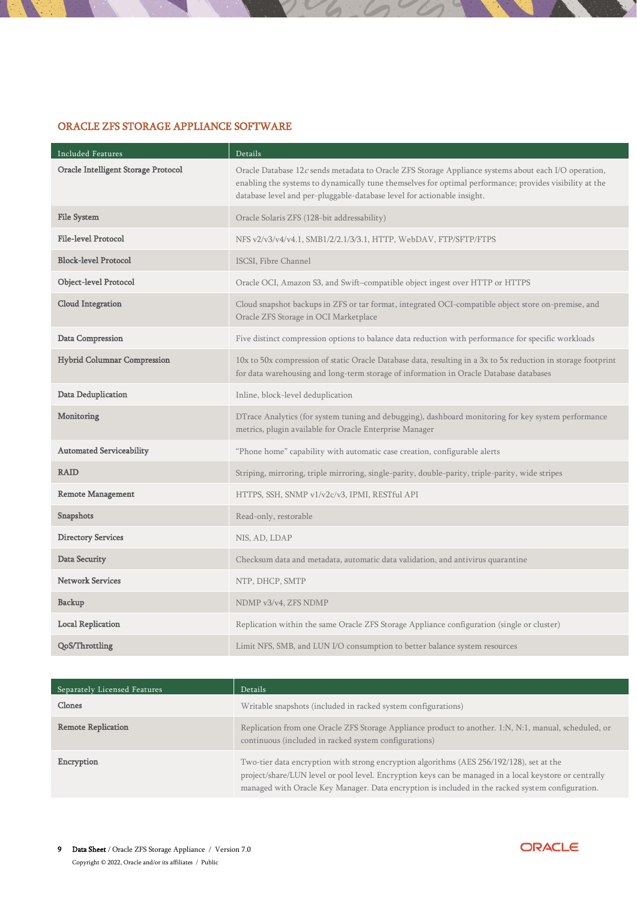# ORACLE ZFS STORAGE APPLIANCE SOFTWARE

| Included Features                   | Details                                                                                                                                                                                                                                                                                    |
|-------------------------------------|--------------------------------------------------------------------------------------------------------------------------------------------------------------------------------------------------------------------------------------------------------------------------------------------|
| Oracle Intelligent Storage Protocol | Oracle Database 12c sends metadata to Oracle ZFS Storage Appliance systems about each I/O operation,<br>enabling the systems to dynamically tune themselves for optimal performance; provides visibility at the<br>database level and per-pluggable-database level for actionable insight. |
| <b>File System</b>                  | Oracle Solaris ZFS (128-bit addressability)                                                                                                                                                                                                                                                |
| <b>File-level Protocol</b>          | NFS v2/v3/v4/v4.1, SMB1/2/2.1/3/3.1, HTTP, WebDAV, FTP/SFTP/FTPS                                                                                                                                                                                                                           |
| <b>Block-level Protocol</b>         | ISCSI, Fibre Channel                                                                                                                                                                                                                                                                       |
| Object-level Protocol               | Oracle OCI, Amazon S3, and Swift-compatible object ingest over HTTP or HTTPS                                                                                                                                                                                                               |
| Cloud Integration                   | Cloud snapshot backups in ZFS or tar format, integrated OCI-compatible object store on-premise, and<br>Oracle ZFS Storage in OCI Marketplace                                                                                                                                               |
| Data Compression                    | Five distinct compression options to balance data reduction with performance for specific workloads                                                                                                                                                                                        |
| <b>Hybrid Columnar Compression</b>  | 10x to 50x compression of static Oracle Database data, resulting in a 3x to 5x reduction in storage footprint<br>for data warehousing and long-term storage of information in Oracle Database databases                                                                                    |
| Data Deduplication                  | Inline, block-level deduplication                                                                                                                                                                                                                                                          |
| Monitoring                          | DTrace Analytics (for system tuning and debugging), dashboard monitoring for key system performance<br>metrics, plugin available for Oracle Enterprise Manager                                                                                                                             |
| <b>Automated Serviceability</b>     | "Phone home" capability with automatic case creation, configurable alerts                                                                                                                                                                                                                  |
| <b>RAID</b>                         | Striping, mirroring, triple mirroring, single-parity, double-parity, triple-parity, wide stripes                                                                                                                                                                                           |
| <b>Remote Management</b>            | HTTPS, SSH, SNMP v1/v2c/v3, IPMI, RESTful API                                                                                                                                                                                                                                              |
| Snapshots                           | Read-only, restorable                                                                                                                                                                                                                                                                      |
| <b>Directory Services</b>           | NIS, AD, LDAP                                                                                                                                                                                                                                                                              |
| Data Security                       | Checksum data and metadata, automatic data validation, and antivirus quarantine                                                                                                                                                                                                            |
| <b>Network Services</b>             | NTP, DHCP, SMTP                                                                                                                                                                                                                                                                            |
| Backup                              | NDMP v3/v4, ZFS NDMP                                                                                                                                                                                                                                                                       |
| <b>Local Replication</b>            | Replication within the same Oracle ZFS Storage Appliance configuration (single or cluster)                                                                                                                                                                                                 |
| QoS/Throttling                      | Limit NFS, SMB, and LUN I/O consumption to better balance system resources                                                                                                                                                                                                                 |

| Separately Licensed Features | Details                                                                                                                                                                                                                                                                                                |
|------------------------------|--------------------------------------------------------------------------------------------------------------------------------------------------------------------------------------------------------------------------------------------------------------------------------------------------------|
| Clones                       | Writable snapshots (included in racked system configurations)                                                                                                                                                                                                                                          |
| <b>Remote Replication</b>    | Replication from one Oracle ZFS Storage Appliance product to another. 1:N, N:1, manual, scheduled, or<br>continuous (included in racked system configurations)                                                                                                                                         |
| Encryption                   | Two-tier data encryption with strong encryption algorithms (AES 256/192/128), set at the<br>project/share/LUN level or pool level. Encryption keys can be managed in a local keystore or centrally<br>managed with Oracle Key Manager. Data encryption is included in the racked system configuration. |

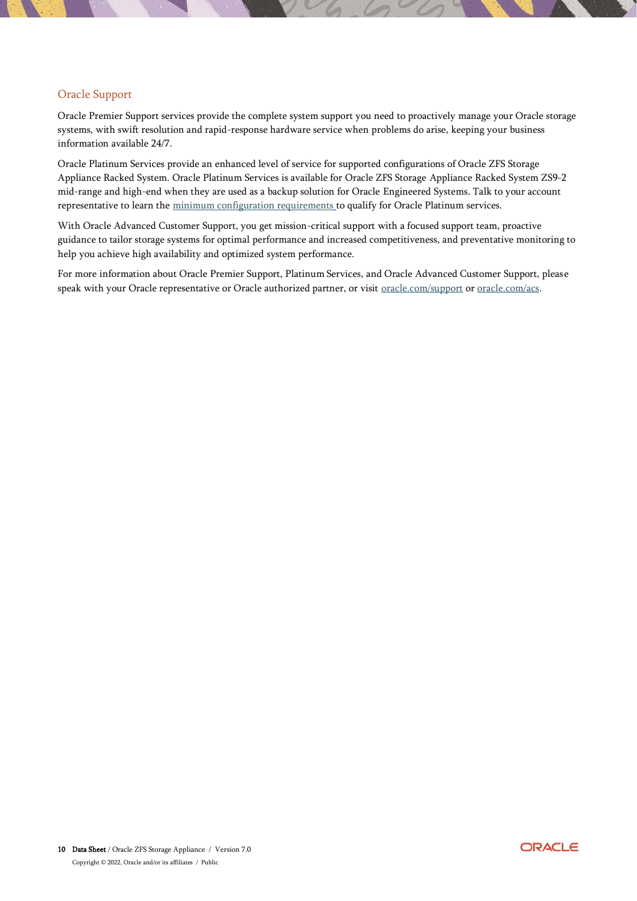# Oracle Support

Oracle Premier Support services provide the complete system support you need to proactively manage your Oracle storage systems, with swift resolution and rapid-response hardware service when problems do arise, keeping your business information available 24/7.

Oracle Platinum Services provide an enhanced level of service for supported configurations of Oracle ZFS Storage Appliance Racked System. Oracle Platinum Services is available for Oracle ZFS Storage Appliance Racked System ZS9-2 mid-range and high-end when they are used as a backup solution for Oracle Engineered Systems. Talk to your account representative to learn the [minimum configuration requirements](http://www.oracle.com/us/support/library/certified-platinum-configs-1652888.pdf) to qualify for Oracle Platinum services.

With Oracle Advanced Customer Support, you get mission-critical support with a focused support team, proactive guidance to tailor storage systems for optimal performance and increased competitiveness, and preventative monitoring to help you achieve high availability and optimized system performance.

For more information about Oracle Premier Support, Platinum Services, and Oracle Advanced Customer Support, please speak with your Oracle representative or Oracle authorized partner, or visit [oracle.com/support](https://www.oracle.com/support/index.html) or [oracle.com/acs.](http://www.oracle.com/acs)